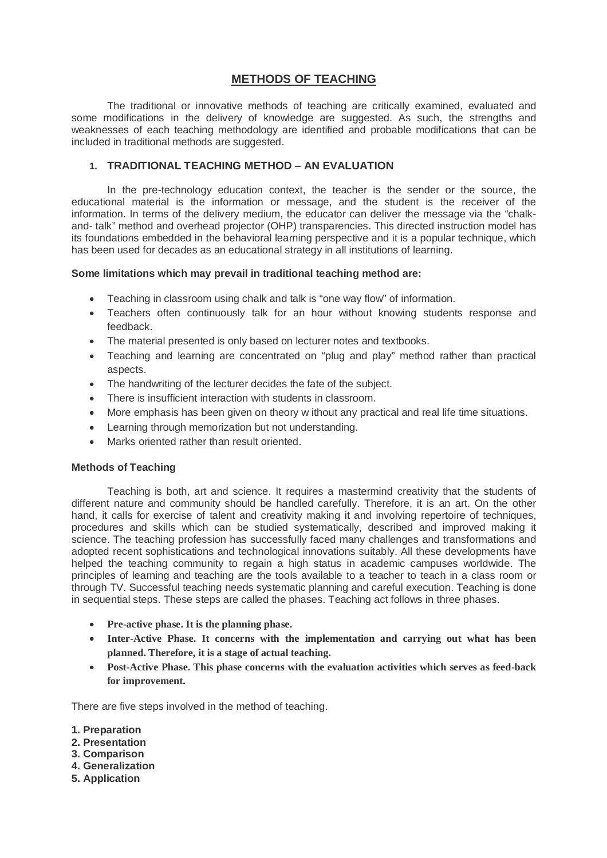## **METHODS OF TEACHING**

The traditional or innovative methods of teaching are critically examined, evaluated and some modifications in the delivery of knowledge are suggested. As such, the strengths and weaknesses of each teaching methodology are identified and probable modifications that can be included in traditional methods are suggested.

### **1. TRADITIONAL TEACHING METHOD – AN EVALUATION**

In the pre-technology education context, the teacher is the sender or the source, the educational material is the information or message, and the student is the receiver of the information. In terms of the delivery medium, the educator can deliver the message via the "chalkand- talk" method and overhead projector (OHP) transparencies. This directed instruction model has its foundations embedded in the behavioral learning perspective and it is a popular technique, which has been used for decades as an educational strategy in all institutions of learning.

#### **Some limitations which may prevail in traditional teaching method are:**

- Teaching in classroom using chalk and talk is "one way flow" of information.
- Teachers often continuously talk for an hour without knowing students response and feedback.
- The material presented is only based on lecturer notes and textbooks.
- Teaching and learning are concentrated on "plug and play" method rather than practical aspects.
- The handwriting of the lecturer decides the fate of the subject.
- There is insufficient interaction with students in classroom.
- More emphasis has been given on theory w ithout any practical and real life time situations.
- Learning through memorization but not understanding.
- Marks oriented rather than result oriented.

### **Methods of Teaching**

Teaching is both, art and science. It requires a mastermind creativity that the students of different nature and community should be handled carefully. Therefore, it is an art. On the other hand, it calls for exercise of talent and creativity making it and involving repertoire of techniques, procedures and skills which can be studied systematically, described and improved making it science. The teaching profession has successfully faced many challenges and transformations and adopted recent sophistications and technological innovations suitably. All these developments have helped the teaching community to regain a high status in academic campuses worldwide. The principles of learning and teaching are the tools available to a teacher to teach in a class room or through TV. Successful teaching needs systematic planning and careful execution. Teaching is done in sequential steps. These steps are called the phases. Teaching act follows in three phases.

- **Pre-active phase. It is the planning phase.**
- **Inter-Active Phase. It concerns with the implementation and carrying out what has been planned. Therefore, it is a stage of actual teaching.**
- **Post-Active Phase. This phase concerns with the evaluation activities which serves as feed-back for improvement.**

There are five steps involved in the method of teaching.

- **1. Preparation**
- **2. Presentation**
- **3. Comparison**
- **4. Generalization**
- **5. Application**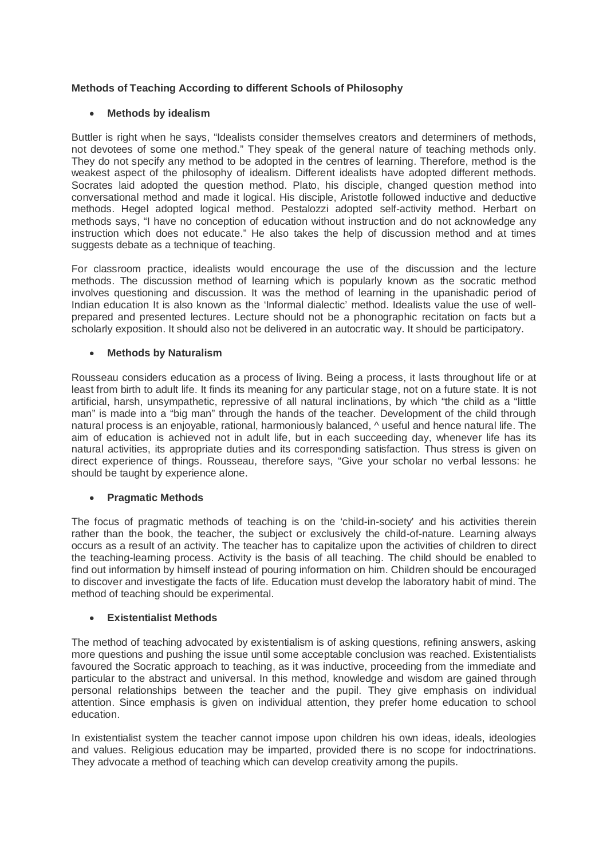## **Methods of Teaching According to different Schools of Philosophy**

### **Methods by idealism**

Buttler is right when he says, "Idealists consider themselves creators and determiners of methods, not devotees of some one method." They speak of the general nature of teaching methods only. They do not specify any method to be adopted in the centres of learning. Therefore, method is the weakest aspect of the philosophy of idealism. Different idealists have adopted different methods. Socrates laid adopted the question method. Plato, his disciple, changed question method into conversational method and made it logical. His disciple, Aristotle followed inductive and deductive methods. Hegel adopted logical method. Pestalozzi adopted self-activity method. Herbart on methods says, "I have no conception of education without instruction and do not acknowledge any instruction which does not educate." He also takes the help of discussion method and at times suggests debate as a technique of teaching.

For classroom practice, idealists would encourage the use of the discussion and the lecture methods. The discussion method of learning which is popularly known as the socratic method involves questioning and discussion. It was the method of learning in the upanishadic period of Indian education It is also known as the 'Informal dialectic' method. Idealists value the use of wellprepared and presented lectures. Lecture should not be a phonographic recitation on facts but a scholarly exposition. It should also not be delivered in an autocratic way. It should be participatory.

### **Methods by Naturalism**

Rousseau considers education as a process of living. Being a process, it lasts throughout life or at least from birth to adult life. It finds its meaning for any particular stage, not on a future state. It is not artificial, harsh, unsympathetic, repressive of all natural inclinations, by which "the child as a "little man" is made into a "big man" through the hands of the teacher. Development of the child through natural process is an enjoyable, rational, harmoniously balanced,  $\land$  useful and hence natural life. The aim of education is achieved not in adult life, but in each succeeding day, whenever life has its natural activities, its appropriate duties and its corresponding satisfaction. Thus stress is given on direct experience of things. Rousseau, therefore says, "Give your scholar no verbal lessons: he should be taught by experience alone.

### **Pragmatic Methods**

The focus of pragmatic methods of teaching is on the 'child-in-society' and his activities therein rather than the book, the teacher, the subject or exclusively the child-of-nature. Learning always occurs as a result of an activity. The teacher has to capitalize upon the activities of children to direct the teaching-learning process. Activity is the basis of all teaching. The child should be enabled to find out information by himself instead of pouring information on him. Children should be encouraged to discover and investigate the facts of life. Education must develop the laboratory habit of mind. The method of teaching should be experimental.

### **Existentialist Methods**

The method of teaching advocated by existentialism is of asking questions, refining answers, asking more questions and pushing the issue until some acceptable conclusion was reached. Existentialists favoured the Socratic approach to teaching, as it was inductive, proceeding from the immediate and particular to the abstract and universal. In this method, knowledge and wisdom are gained through personal relationships between the teacher and the pupil. They give emphasis on individual attention. Since emphasis is given on individual attention, they prefer home education to school education.

In existentialist system the teacher cannot impose upon children his own ideas, ideals, ideologies and values. Religious education may be imparted, provided there is no scope for indoctrinations. They advocate a method of teaching which can develop creativity among the pupils.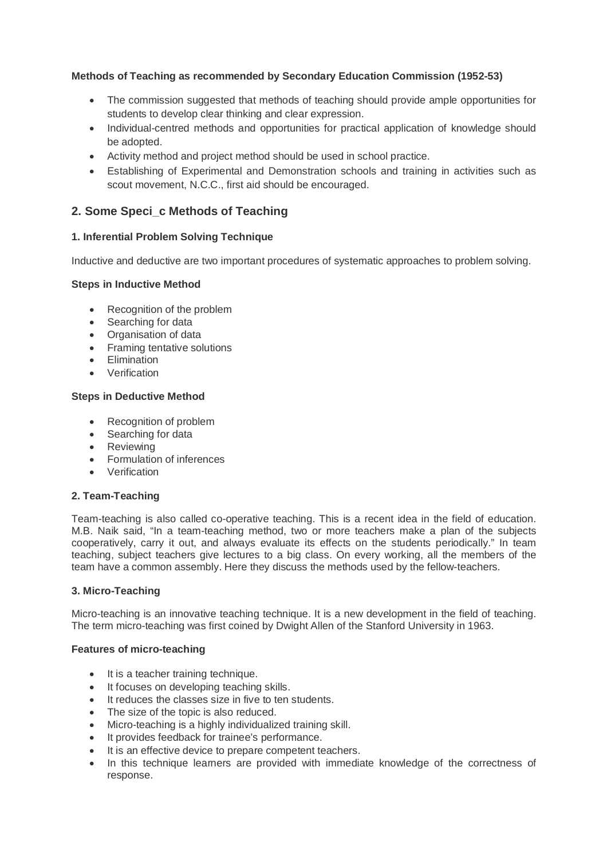## **Methods of Teaching as recommended by Secondary Education Commission (1952-53)**

- The commission suggested that methods of teaching should provide ample opportunities for students to develop clear thinking and clear expression.
- Individual-centred methods and opportunities for practical application of knowledge should be adopted.
- Activity method and project method should be used in school practice.
- Establishing of Experimental and Demonstration schools and training in activities such as scout movement, N.C.C., first aid should be encouraged.

# **2. Some Speci\_c Methods of Teaching**

## **1. Inferential Problem Solving Technique**

Inductive and deductive are two important procedures of systematic approaches to problem solving.

### **Steps in Inductive Method**

- Recognition of the problem
- Searching for data
- Organisation of data
- Framing tentative solutions
- **•** Elimination
- Verification

## **Steps in Deductive Method**

- Recognition of problem
- Searching for data
- Reviewing
- Formulation of inferences
- Verification

### **2. Team-Teaching**

Team-teaching is also called co-operative teaching. This is a recent idea in the field of education. M.B. Naik said, "In a team-teaching method, two or more teachers make a plan of the subjects cooperatively, carry it out, and always evaluate its effects on the students periodically." In team teaching, subject teachers give lectures to a big class. On every working, all the members of the team have a common assembly. Here they discuss the methods used by the fellow-teachers.

### **3. Micro-Teaching**

Micro-teaching is an innovative teaching technique. It is a new development in the field of teaching. The term micro-teaching was first coined by Dwight Allen of the Stanford University in 1963.

### **Features of micro-teaching**

- It is a teacher training technique.
- It focuses on developing teaching skills.
- It reduces the classes size in five to ten students.
- The size of the topic is also reduced.
- Micro-teaching is a highly individualized training skill.
- It provides feedback for trainee's performance.
- It is an effective device to prepare competent teachers.
- In this technique learners are provided with immediate knowledge of the correctness of response.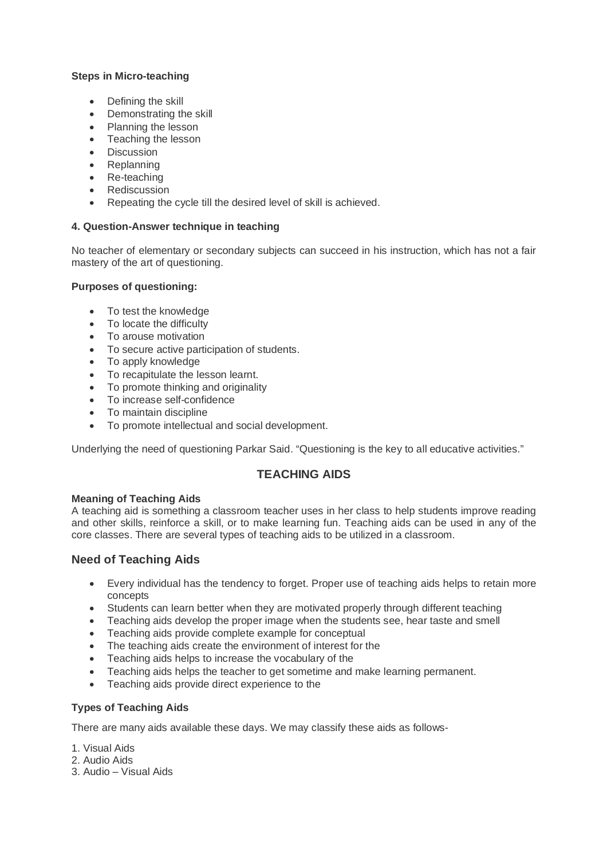### **Steps in Micro-teaching**

- Defining the skill
- Demonstrating the skill
- Planning the lesson
- Teaching the lesson
- Discussion
- Replanning
- Re-teaching
- Rediscussion
- Repeating the cycle till the desired level of skill is achieved.

## **4. Question-Answer technique in teaching**

No teacher of elementary or secondary subjects can succeed in his instruction, which has not a fair mastery of the art of questioning.

## **Purposes of questioning:**

- To test the knowledge
- To locate the difficulty
- To arouse motivation
- To secure active participation of students.
- To apply knowledge
- To recapitulate the lesson learnt.
- To promote thinking and originality
- To increase self-confidence
- To maintain discipline
- To promote intellectual and social development.

Underlying the need of questioning Parkar Said. "Questioning is the key to all educative activities."

## **TEACHING AIDS**

### **Meaning of Teaching Aids**

A teaching aid is something a classroom teacher uses in her class to help students improve reading and other skills, reinforce a skill, or to make learning fun. Teaching aids can be used in any of the core classes. There are several types of teaching aids to be utilized in a classroom.

## **Need of Teaching Aids**

- Every individual has the tendency to forget. Proper use of teaching aids helps to retain more concepts
- Students can learn better when they are motivated properly through different teaching
- Teaching aids develop the proper image when the students see, hear taste and smell
- Teaching aids provide complete example for conceptual
- The teaching aids create the environment of interest for the
- Teaching aids helps to increase the vocabulary of the
- Teaching aids helps the teacher to get sometime and make learning permanent.
- Teaching aids provide direct experience to the

## **Types of Teaching Aids**

There are many aids available these days. We may classify these aids as follows-

- 1. Visual Aids
- 2. Audio Aids
- 3. Audio Visual Aids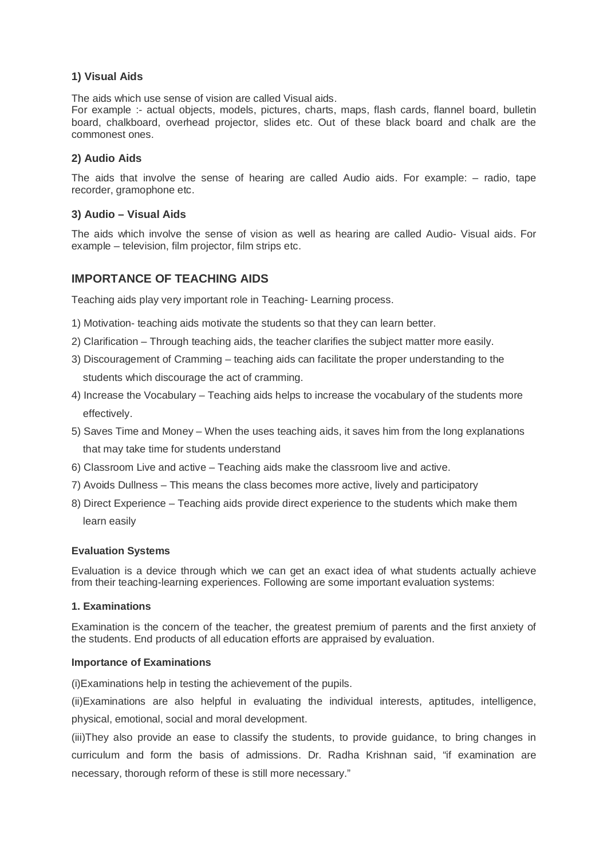# **1) Visual Aids**

The aids which use sense of vision are called Visual aids.

For example :- actual objects, models, pictures, charts, maps, flash cards, flannel board, bulletin board, chalkboard, overhead projector, slides etc. Out of these black board and chalk are the commonest ones.

### **2) Audio Aids**

The aids that involve the sense of hearing are called Audio aids. For example: – radio, tape recorder, gramophone etc.

### **3) Audio – Visual Aids**

The aids which involve the sense of vision as well as hearing are called Audio- Visual aids. For example – television, film projector, film strips etc.

## **IMPORTANCE OF TEACHING AIDS**

Teaching aids play very important role in Teaching- Learning process.

- 1) Motivation- teaching aids motivate the students so that they can learn better.
- 2) Clarification Through teaching aids, the teacher clarifies the subject matter more easily.
- 3) Discouragement of Cramming teaching aids can facilitate the proper understanding to the students which discourage the act of cramming.
- 4) Increase the Vocabulary Teaching aids helps to increase the vocabulary of the students more effectively.
- 5) Saves Time and Money When the uses teaching aids, it saves him from the long explanations that may take time for students understand
- 6) Classroom Live and active Teaching aids make the classroom live and active.
- 7) Avoids Dullness This means the class becomes more active, lively and participatory
- 8) Direct Experience Teaching aids provide direct experience to the students which make them learn easily

### **Evaluation Systems**

Evaluation is a device through which we can get an exact idea of what students actually achieve from their teaching-learning experiences. Following are some important evaluation systems:

### **1. Examinations**

Examination is the concern of the teacher, the greatest premium of parents and the first anxiety of the students. End products of all education efforts are appraised by evaluation.

### **Importance of Examinations**

(i)Examinations help in testing the achievement of the pupils.

(ii)Examinations are also helpful in evaluating the individual interests, aptitudes, intelligence, physical, emotional, social and moral development.

(iii)They also provide an ease to classify the students, to provide guidance, to bring changes in curriculum and form the basis of admissions. Dr. Radha Krishnan said, "if examination are necessary, thorough reform of these is still more necessary."